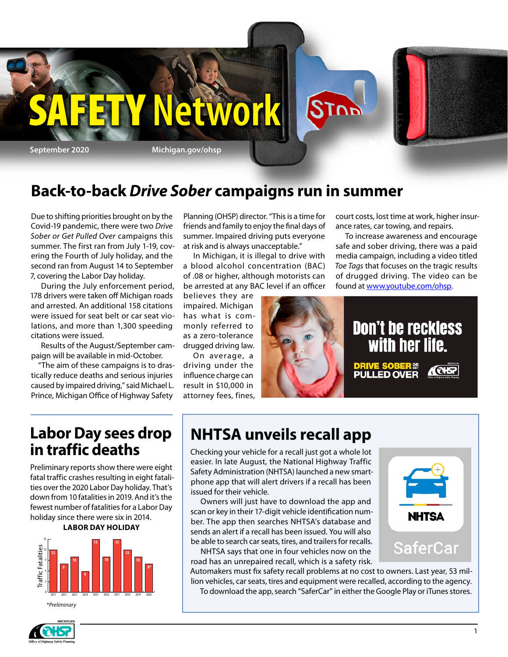

### **Back-to-back** *Drive Sober* **campaigns run in summer**

Due to shifting priorities brought on by the Covid-19 pandemic, there were two *Drive Sober or Get Pulled Over* campaigns this summer. The first ran from July 1-19, covering the Fourth of July holiday, and the second ran from August 14 to September 7, covering the Labor Day holiday.

During the July enforcement period, 178 drivers were taken off Michigan roads and arrested. An additional 158 citations were issued for seat belt or car seat violations, and more than 1,300 speeding citations were issued.

Results of the August/September campaign will be available in mid-October.

"The aim of these campaigns is to drastically reduce deaths and serious injuries caused by impaired driving," said Michael L. Prince, Michigan Office of Highway Safety

Planning (OHSP) director. "This is a time for friends and family to enjoy the final days of summer. Impaired driving puts everyone at risk and is always unacceptable."

In Michigan, it is illegal to drive with a blood alcohol concentration (BAC) of .08 or higher, although motorists can be arrested at any BAC level if an officer

believes they are impaired. Michigan has what is commonly referred to as a zero-tolerance drugged driving law.

On average, a driving under the influence charge can result in \$10,000 in attorney fees, fines,



To increase awareness and encourage safe and sober driving, there was a paid media campaign, including a video titled *Toe Tags* that focuses on the tragic results of drugged driving. The video can be found at [www.youtube.com/ohsp](http://www.youtube.com/ohsp).



### **Labor Day sees drop in traffic deaths**

Preliminary reports show there were eight fatal traffic crashes resulting in eight fatalities over the 2020 Labor Day holiday. That's down from 10 fatalities in 2019. And it's the fewest number of fatalities for a Labor Day holiday since there were six in 2014.

#### **LABOR DAY HOLIDAY**



*\*Preliminary*

### **NHTSA unveils recall app**

Checking your vehicle for a recall just got a whole lot easier. In late August, the National Highway Traffic Safety Administration (NHTSA) launched a new smartphone app that will alert drivers if a recall has been issued for their vehicle.

Owners will just have to download the app and scan or key in their 17-digit vehicle identification number. The app then searches NHTSA's database and sends an alert if a recall has been issued. You will also be able to search car seats, tires, and trailers for recalls.

NHTSA says that one in four vehicles now on the road has an unrepaired recall, which is a safety risk.

Automakers must fix safety recall problems at no cost to owners. Last year, 53 million vehicles, car seats, tires and equipment were recalled, according to the agency. To download the app, search "SaferCar" in either the Google Play or iTunes stores.

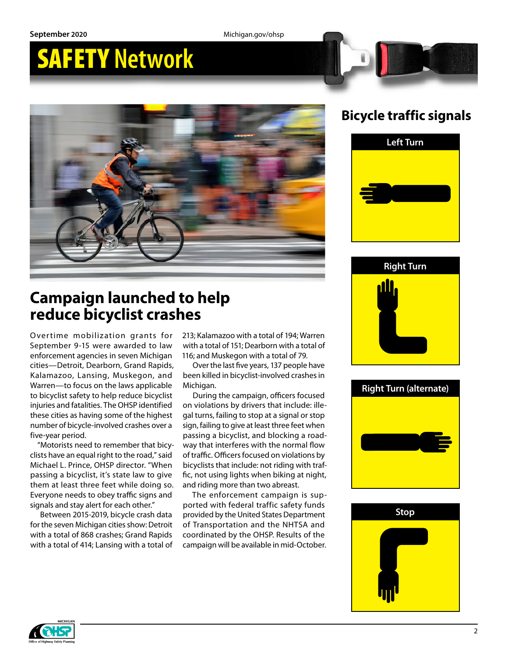**September 2020** Michigan.gov/ohsp

# SAFETY **Network**



### **Bicycle traffic signals**



### **Campaign launched to help reduce bicyclist crashes**

Overtime mobilization grants for September 9-15 were awarded to law enforcement agencies in seven Michigan cities—Detroit, Dearborn, Grand Rapids, Kalamazoo, Lansing, Muskegon, and Warren—to focus on the laws applicable to bicyclist safety to help reduce bicyclist injuries and fatalities. The OHSP identified these cities as having some of the highest number of bicycle-involved crashes over a five-year period.

"Motorists need to remember that bicyclists have an equal right to the road," said Michael L. Prince, OHSP director. "When passing a bicyclist, it's state law to give them at least three feet while doing so. Everyone needs to obey traffic signs and signals and stay alert for each other."

Between 2015-2019, bicycle crash data for the seven Michigan cities show: Detroit with a total of 868 crashes; Grand Rapids with a total of 414; Lansing with a total of 213; Kalamazoo with a total of 194; Warren with a total of 151; Dearborn with a total of 116; and Muskegon with a total of 79.

Over the last five years, 137 people have been killed in bicyclist-involved crashes in Michigan.

During the campaign, officers focused on violations by drivers that include: illegal turns, failing to stop at a signal or stop sign, failing to give at least three feet when passing a bicyclist, and blocking a roadway that interferes with the normal flow of traffic. Officers focused on violations by bicyclists that include: not riding with traffic, not using lights when biking at night, and riding more than two abreast.

The enforcement campaign is supported with federal traffic safety funds provided by the United States Department of Transportation and the NHTSA and coordinated by the OHSP. Results of the campaign will be available in mid-October.







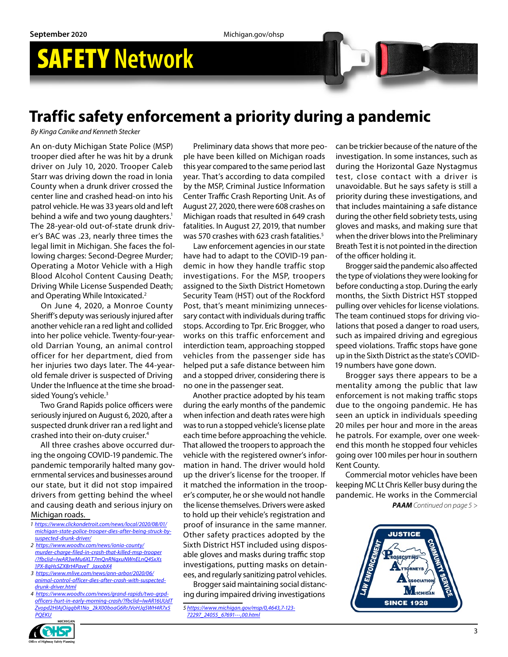### **Traffic safety enforcement a priority during a pandemic**

*By Kinga Canike and Kenneth Stecker*

An on-duty Michigan State Police (MSP) trooper died after he was hit by a drunk driver on July 10, 2020. Trooper Caleb Starr was driving down the road in Ionia County when a drunk driver crossed the center line and crashed head-on into his patrol vehicle. He was 33 years old and left behind a wife and two young daughters.<sup>1</sup> The 28-year-old out-of-state drunk driver's BAC was .23, nearly three times the legal limit in Michigan. She faces the following charges: Second-Degree Murder; Operating a Motor Vehicle with a High Blood Alcohol Content Causing Death; Driving While License Suspended Death; and Operating While Intoxicated.<sup>2</sup>

On June 4, 2020, a Monroe County Sheriff's deputy was seriously injured after another vehicle ran a red light and collided into her police vehicle. Twenty-four-yearold Darrian Young, an animal control officer for her department, died from her injuries two days later. The 44-yearold female driver is suspected of Driving Under the Influence at the time she broadsided Young's vehicle.<sup>3</sup>

Two Grand Rapids police officers were seriously injured on August 6, 2020, after a suspected drunk driver ran a red light and crashed into their on-duty cruiser.4

All three crashes above occurred during the ongoing COVID-19 pandemic. The pandemic temporarily halted many governmental services and businesses around our state, but it did not stop impaired drivers from getting behind the wheel and causing death and serious injury on Michigan roads.

- *1 [https://www.clickondetroit.com/news/local/2020/08/01/](https://www.clickondetroit.com/news/local/2020/08/01/michigan-state-police-trooper-dies-after-being-struck-by-suspected-drunk-driver/) [michigan-state-police-trooper-dies-after-being-struck-by](https://www.clickondetroit.com/news/local/2020/08/01/michigan-state-police-trooper-dies-after-being-struck-by-suspected-drunk-driver/)[suspected-drunk-driver/](https://www.clickondetroit.com/news/local/2020/08/01/michigan-state-police-trooper-dies-after-being-struck-by-suspected-drunk-driver/)*
- *2 [https://www.woodtv.com/news/ionia-county/](https://www.woodtv.com/news/ionia-county/murder-charge-filed-in-crash-that-killed-msp-trooper/?fbclid=IwAR3wMu6XLT7mQnRNqxuNWnELnQ4SxXs1PX-8qHs5ZX8rt4PaveT_JaxobX4) [murder-charge-filed-in-crash-that-killed-msp-trooper](https://www.woodtv.com/news/ionia-county/murder-charge-filed-in-crash-that-killed-msp-trooper/?fbclid=IwAR3wMu6XLT7mQnRNqxuNWnELnQ4SxXs1PX-8qHs5ZX8rt4PaveT_JaxobX4) [/?fbclid=IwAR3wMu6XLT7mQnRNqxuNWnELnQ4SxXs](https://www.woodtv.com/news/ionia-county/murder-charge-filed-in-crash-that-killed-msp-trooper/?fbclid=IwAR3wMu6XLT7mQnRNqxuNWnELnQ4SxXs1PX-8qHs5ZX8rt4PaveT_JaxobX4) [1PX-8qHs5ZX8rt4PaveT\\_JaxobX4](https://www.woodtv.com/news/ionia-county/murder-charge-filed-in-crash-that-killed-msp-trooper/?fbclid=IwAR3wMu6XLT7mQnRNqxuNWnELnQ4SxXs1PX-8qHs5ZX8rt4PaveT_JaxobX4)*
- *3 [https://www.mlive.com/news/ann-arbor/2020/06/](https://www.mlive.com/news/ann-arbor/2020/06/animal-control-officer-dies-after-crash-with-suspected-drunk-driver.html) [animal-control-officer-dies-after-crash-with-suspected](https://www.mlive.com/news/ann-arbor/2020/06/animal-control-officer-dies-after-crash-with-suspected-drunk-driver.html)[drunk-driver.html](https://www.mlive.com/news/ann-arbor/2020/06/animal-control-officer-dies-after-crash-with-suspected-drunk-driver.html)*
- *4 [https://www.woodtv.com/news/grand-rapids/two-grpd](https://www.woodtv.com/news/grand-rapids/two-grpd-officers-hurt-in-early-morning-crash/?fbclid=IwAR16UUdTZvopd2HIAjOiggbR1No_2kX00boaG6RrJVoHJq5WH4R7x5PQEKU)[officers-hurt-in-early-morning-crash/?fbclid=IwAR16UUdT](https://www.woodtv.com/news/grand-rapids/two-grpd-officers-hurt-in-early-morning-crash/?fbclid=IwAR16UUdTZvopd2HIAjOiggbR1No_2kX00boaG6RrJVoHJq5WH4R7x5PQEKU) [Zvopd2HIAjOiggbR1No\\_2kX00boaG6RrJVoHJq5WH4R7x5](https://www.woodtv.com/news/grand-rapids/two-grpd-officers-hurt-in-early-morning-crash/?fbclid=IwAR16UUdTZvopd2HIAjOiggbR1No_2kX00boaG6RrJVoHJq5WH4R7x5PQEKU) [PQEKU](https://www.woodtv.com/news/grand-rapids/two-grpd-officers-hurt-in-early-morning-crash/?fbclid=IwAR16UUdTZvopd2HIAjOiggbR1No_2kX00boaG6RrJVoHJq5WH4R7x5PQEKU)*

Preliminary data shows that more people have been killed on Michigan roads this year compared to the same period last year. That's according to data compiled by the MSP, Criminal Justice Information Center Traffic Crash Reporting Unit. As of August 27, 2020, there were 608 crashes on Michigan roads that resulted in 649 crash fatalities. In August 27, 2019, that number was 570 crashes with 623 crash fatalities.<sup>5</sup>

Law enforcement agencies in our state have had to adapt to the COVID-19 pandemic in how they handle traffic stop investigations. For the MSP, troopers assigned to the Sixth District Hometown Security Team (HST) out of the Rockford Post, that's meant minimizing unnecessary contact with individuals during traffic stops. According to Tpr. Eric Brogger, who works on this traffic enforcement and interdiction team, approaching stopped vehicles from the passenger side has helped put a safe distance between him and a stopped driver, considering there is no one in the passenger seat.

Another practice adopted by his team during the early months of the pandemic when infection and death rates were high was to run a stopped vehicle's license plate each time before approaching the vehicle. That allowed the troopers to approach the vehicle with the registered owner's information in hand. The driver would hold up the driver's license for the trooper. If it matched the information in the trooper's computer, he or she would not handle the license themselves. Drivers were asked to hold up their vehicle's registration and proof of insurance in the same manner. Other safety practices adopted by the Sixth District HST included using disposable gloves and masks during traffic stop investigations, putting masks on detainees, and regularly sanitizing patrol vehicles.

Brogger said maintaining social distancing during impaired driving investigations

can be trickier because of the nature of the investigation. In some instances, such as during the Horizontal Gaze Nystagmus test, close contact with a driver is unavoidable. But he says safety is still a priority during these investigations, and that includes maintaining a safe distance during the other field sobriety tests, using gloves and masks, and making sure that when the driver blows into the Preliminary Breath Test it is not pointed in the direction of the officer holding it.

Brogger said the pandemic also affected the type of violations they were looking for before conducting a stop. During the early months, the Sixth District HST stopped pulling over vehicles for license violations. The team continued stops for driving violations that posed a danger to road users, such as impaired driving and egregious speed violations. Traffic stops have gone up in the Sixth District as the state's COVID-19 numbers have gone down.

Brogger says there appears to be a mentality among the public that law enforcement is not making traffic stops due to the ongoing pandemic. He has seen an uptick in individuals speeding 20 miles per hour and more in the areas he patrols. For example, over one weekend this month he stopped four vehicles going over 100 miles per hour in southern Kent County.

*PAAM Continued on page 5 >* Commercial motor vehicles have been keeping MC Lt Chris Keller busy during the pandemic. He works in the Commercial





*<sup>5</sup> [https://www.michigan.gov/msp/0,4643,7-123-](https://www.michigan.gov/msp/0,4643,7-123-72297_24055_67691---,00.html) [72297\\_24055\\_67691---,00.html](https://www.michigan.gov/msp/0,4643,7-123-72297_24055_67691---,00.html)*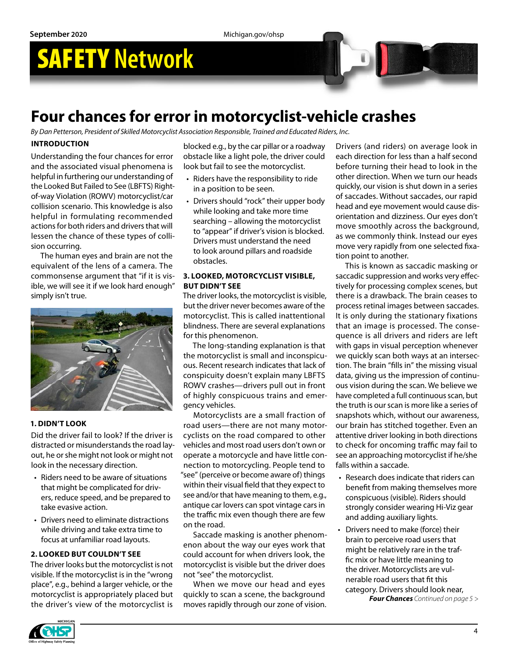## **Four chances for error in motorcyclist-vehicle crashes**

*By Dan Petterson, President of Skilled Motorcyclist Association Responsible, Trained and Educated Riders, Inc.*

#### **INTRODUCTION**

Understanding the four chances for error and the associated visual phenomena is helpful in furthering our understanding of the Looked But Failed to See (LBFTS) Rightof-way Violation (ROWV) motorcyclist/car collision scenario. This knowledge is also helpful in formulating recommended actions for both riders and drivers that will lessen the chance of these types of collision occurring.

The human eyes and brain are not the equivalent of the lens of a camera. The commonsense argument that "if it is visible, we will see it if we look hard enough" simply isn't true.



#### **1. DIDN'T LOOK**

Did the driver fail to look? If the driver is distracted or misunderstands the road layout, he or she might not look or might not look in the necessary direction.

- Riders need to be aware of situations that might be complicated for drivers, reduce speed, and be prepared to take evasive action.
- Drivers need to eliminate distractions while driving and take extra time to focus at unfamiliar road layouts.

#### **2. LOOKED BUT COULDN'T SEE**

The driver looks but the motorcyclist is not visible. If the motorcyclist is in the "wrong place", e.g., behind a larger vehicle, or the motorcyclist is appropriately placed but the driver's view of the motorcyclist is blocked e.g., by the car pillar or a roadway obstacle like a light pole, the driver could look but fail to see the motorcyclist.

- Riders have the responsibility to ride in a position to be seen.
- Drivers should "rock" their upper body while looking and take more time searching – allowing the motorcyclist to "appear" if driver's vision is blocked. Drivers must understand the need to look around pillars and roadside obstacles.

#### **3. LOOKED, MOTORCYCLIST VISIBLE, BUT DIDN'T SEE**

The driver looks, the motorcyclist is visible, but the driver never becomes aware of the motorcyclist. This is called inattentional blindness. There are several explanations for this phenomenon.

The long-standing explanation is that the motorcyclist is small and inconspicuous. Recent research indicates that lack of conspicuity doesn't explain many LBFTS ROWV crashes—drivers pull out in front of highly conspicuous trains and emergency vehicles.

Motorcyclists are a small fraction of road users—there are not many motorcyclists on the road compared to other vehicles and most road users don't own or operate a motorcycle and have little connection to motorcycling. People tend to "see" (perceive or become aware of) things within their visual field that they expect to see and/or that have meaning to them, e.g., antique car lovers can spot vintage cars in the traffic mix even though there are few on the road.

Saccade masking is another phenomenon about the way our eyes work that could account for when drivers look, the motorcyclist is visible but the driver does not "see" the motorcyclist.

When we move our head and eyes quickly to scan a scene, the background moves rapidly through our zone of vision.

Drivers (and riders) on average look in each direction for less than a half second before turning their head to look in the other direction. When we turn our heads quickly, our vision is shut down in a series of saccades. Without saccades, our rapid head and eye movement would cause disorientation and dizziness. Our eyes don't move smoothly across the background, as we commonly think. Instead our eyes move very rapidly from one selected fixation point to another.

This is known as saccadic masking or saccadic suppression and works very effectively for processing complex scenes, but there is a drawback. The brain ceases to process retinal images between saccades. It is only during the stationary fixations that an image is processed. The consequence is all drivers and riders are left with gaps in visual perception whenever we quickly scan both ways at an intersection. The brain "fills in" the missing visual data, giving us the impression of continuous vision during the scan. We believe we have completed a full continuous scan, but the truth is our scan is more like a series of snapshots which, without our awareness, our brain has stitched together. Even an attentive driver looking in both directions to check for oncoming traffic may fail to see an approaching motorcyclist if he/she falls within a saccade.

- Research does indicate that riders can benefit from making themselves more conspicuous (visible). Riders should strongly consider wearing Hi-Viz gear and adding auxiliary lights.
- Drivers need to make (force) their brain to perceive road users that might be relatively rare in the traffic mix or have little meaning to the driver. Motorcyclists are vulnerable road users that fit this category. Drivers should look near,

*Four Chances Continued on page 5 >*

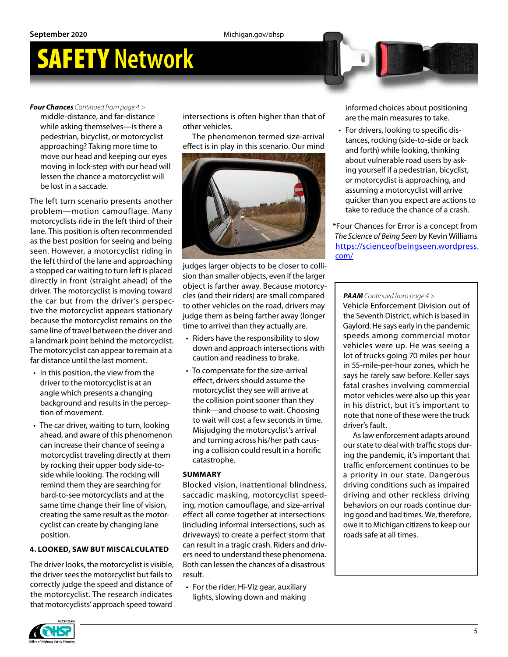#### *Four Chances Continued from page 4 >*

middle-distance, and far-distance while asking themselves—is there a pedestrian, bicyclist, or motorcyclist approaching? Taking more time to move our head and keeping our eyes moving in lock-step with our head will lessen the chance a motorcyclist will be lost in a saccade.

The left turn scenario presents another problem—motion camouflage*.* Many motorcyclists ride in the left third of their lane. This position is often recommended as the best position for seeing and being seen. However, a motorcyclist riding in the left third of the lane and approaching a stopped car waiting to turn left is placed directly in front (straight ahead) of the driver. The motorcyclist is moving toward the car but from the driver's perspective the motorcyclist appears stationary because the motorcyclist remains on the same line of travel between the driver and a landmark point behind the motorcyclist. The motorcyclist can appear to remain at a far distance until the last moment.

- In this position, the view from the driver to the motorcyclist is at an angle which presents a changing background and results in the perception of movement.
- The car driver, waiting to turn, looking ahead, and aware of this phenomenon can increase their chance of seeing a motorcyclist traveling directly at them by rocking their upper body side-toside while looking. The rocking will remind them they are searching for hard-to-see motorcyclists and at the same time change their line of vision, creating the same result as the motorcyclist can create by changing lane position.

#### **4. LOOKED, SAW BUT MISCALCULATED**

The driver looks, the motorcyclist is visible, the driver sees the motorcyclist but fails to correctly judge the speed and distance of the motorcyclist. The research indicates that motorcyclists' approach speed toward

intersections is often higher than that of other vehicles.

The phenomenon termed size-arrival effect is in play in this scenario. Our mind



judges larger objects to be closer to collision than smaller objects, even if the larger object is farther away. Because motorcycles (and their riders) are small compared to other vehicles on the road, drivers may judge them as being farther away (longer time to arrive) than they actually are.

- Riders have the responsibility to slow down and approach intersections with caution and readiness to brake.
- To compensate for the size-arrival effect, drivers should assume the motorcyclist they see will arrive at the collision point sooner than they think—and choose to wait. Choosing to wait will cost a few seconds in time. Misjudging the motorcyclist's arrival and turning across his/her path causing a collision could result in a horrific catastrophe.

#### **SUMMARY**

Blocked vision, inattentional blindness, saccadic masking, motorcyclist speeding, motion camouflage, and size-arrival effect all come together at intersections (including informal intersections, such as driveways) to create a perfect storm that can result in a tragic crash. Riders and drivers need to understand these phenomena. Both can lessen the chances of a disastrous result.

• For the rider, Hi-Viz gear, auxiliary lights, slowing down and making

informed choices about positioning are the main measures to take.

• For drivers, looking to specific distances, rocking (side-to-side or back and forth) while looking, thinking about vulnerable road users by asking yourself if a pedestrian, bicyclist, or motorcyclist is approaching, and assuming a motorcyclist will arrive quicker than you expect are actions to take to reduce the chance of a crash.

\*Four Chances for Error is a concept from *The Science of Being Seen* by Kevin Williams [https://scienceofbeingseen.wordpress.](https://scienceofbeingseen.wordpress.com/) [com/](https://scienceofbeingseen.wordpress.com/)

#### *PAAM Continued from page 4 >*

Vehicle Enforcement Division out of the Seventh District, which is based in Gaylord. He says early in the pandemic speeds among commercial motor vehicles were up. He was seeing a lot of trucks going 70 miles per hour in 55-mile-per-hour zones, which he says he rarely saw before. Keller says fatal crashes involving commercial motor vehicles were also up this year in his district, but it's important to note that none of these were the truck driver's fault.

As law enforcement adapts around our state to deal with traffic stops during the pandemic, it's important that traffic enforcement continues to be a priority in our state. Dangerous driving conditions such as impaired driving and other reckless driving behaviors on our roads continue during good and bad times. We, therefore, owe it to Michigan citizens to keep our roads safe at all times.

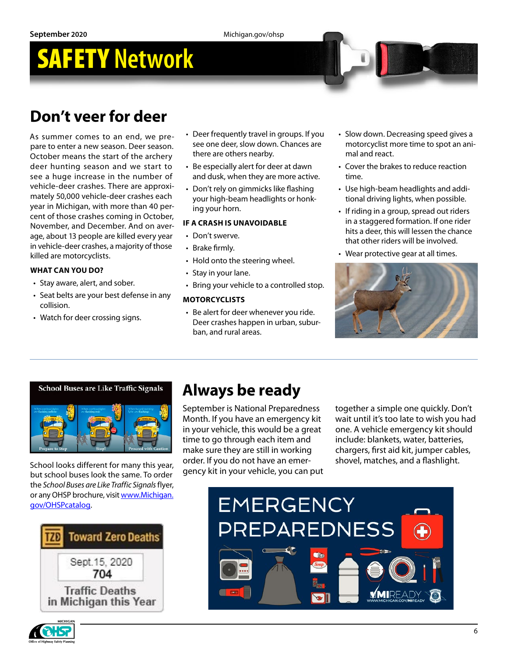## **Don't veer for deer**

As summer comes to an end, we prepare to enter a new season. Deer season. October means the start of the archery deer hunting season and we start to see a huge increase in the number of vehicle-deer crashes. There are approximately 50,000 vehicle-deer crashes each year in Michigan, with more than 40 percent of those crashes coming in October, November, and December. And on average, about 13 people are killed every year in vehicle-deer crashes, a majority of those killed are motorcyclists.

#### **WHAT CAN YOU DO?**

- Stay aware, alert, and sober.
- Seat belts are your best defense in any collision.
- Watch for deer crossing signs.
- Deer frequently travel in groups. If you see one deer, slow down. Chances are there are others nearby.
- Be especially alert for deer at dawn and dusk, when they are more active.
- Don't rely on gimmicks like flashing your high-beam headlights or honking your horn.

#### **IF A CRASH IS UNAVOIDABLE**

- Don't swerve.
- Brake firmly.
- Hold onto the steering wheel.
- Stay in your lane.
- Bring your vehicle to a controlled stop.

#### **MOTORCYCLISTS**

• Be alert for deer whenever you ride. Deer crashes happen in urban, suburban, and rural areas.

- Slow down. Decreasing speed gives a motorcyclist more time to spot an animal and react.
- Cover the brakes to reduce reaction time.
- Use high-beam headlights and additional driving lights, when possible.
- If riding in a group, spread out riders in a staggered formation. If one rider hits a deer, this will lessen the chance that other riders will be involved.
- Wear protective gear at all times.







but school buses look the same. To order the *School Buses are Like Traffic Signals* flyer, or any OHSP brochure, visit www.Michigan. gov/OHSPcatalog.



## **Always be ready**

September is National Preparedness Month. If you have an emergency kit in your vehicle, this would be a great time to go through each item and make sure they are still in working order. If you do not have an emergency kit in your vehicle, you can put School looks different for many this year, order. If you do not have an emer-<br>School looks different for many this year,

together a simple one quickly. Don't wait until it's too late to wish you had one. A vehicle emergency kit should include: blankets, water, batteries, chargers, first aid kit, jumper cables,